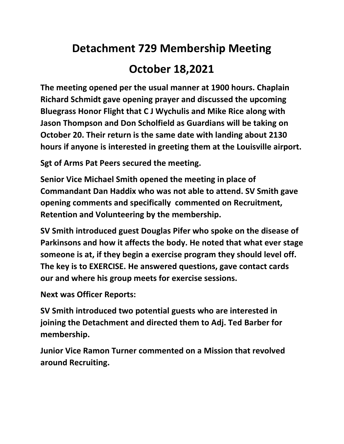## **Detachment 729 Membership Meeting October 18,2021**

**The meeting opened per the usual manner at 1900 hours. Chaplain Richard Schmidt gave opening prayer and discussed the upcoming Bluegrass Honor Flight that C J Wychulis and Mike Rice along with Jason Thompson and Don Scholfield as Guardians will be taking on October 20. Their return is the same date with landing about 2130 hours if anyone is interested in greeting them at the Louisville airport.**

**Sgt of Arms Pat Peers secured the meeting.**

**Senior Vice Michael Smith opened the meeting in place of Commandant Dan Haddix who was not able to attend. SV Smith gave opening comments and specifically commented on Recruitment, Retention and Volunteering by the membership.**

**SV Smith introduced guest Douglas Pifer who spoke on the disease of Parkinsons and how it affects the body. He noted that what ever stage someone is at, if they begin a exercise program they should level off. The key is to EXERCISE. He answered questions, gave contact cards our and where his group meets for exercise sessions.**

**Next was Officer Reports:**

**SV Smith introduced two potential guests who are interested in joining the Detachment and directed them to Adj. Ted Barber for membership.**

**Junior Vice Ramon Turner commented on a Mission that revolved around Recruiting.**